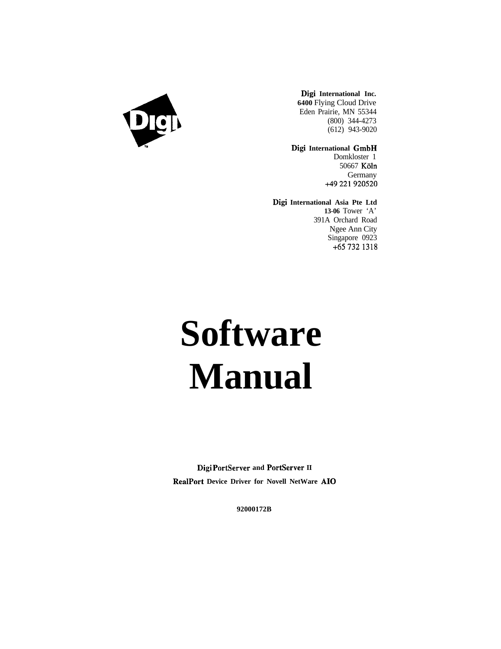

**Digi International Inc. 6400** Flying Cloud Drive Eden Prairie, MN 55344 (800) 344-4273 (612) 943-9020

**Digi International GmbH** Domkloster 1 50667 Köln **Germany** +49221920520

**Digi International Asia Pte Ltd 13-06** Tower 'A' 391A Orchard Road Ngee Ann City Singapore 0923 +657321318

# **Software Manual**

**Digi PortServer and PortServer II RealPort Device Driver for Novell NetWare AI0**

**92000172B**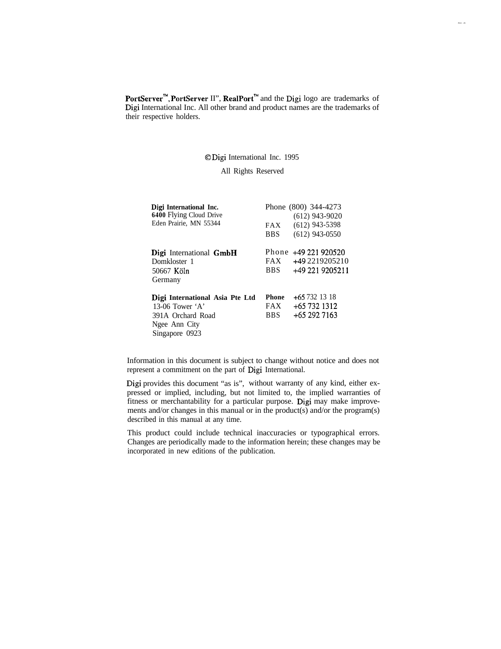PortServer<sup>"</sup>, PortServer II", RealPort<sup>"</sup> and the Digi logo are trademarks of Digi International Inc. All other brand and product names are the trademarks of their respective holders.

#### 0 Digi International Inc. 1995

#### All Rights Reserved

| Digi International Inc.<br>6400 Flying Cloud Drive<br>Eden Prairie, MN 55344                                 | <b>FAX</b><br>BBS -               | Phone (800) 344-4273<br>$(612)$ 943-9020<br>$(612)$ 943-5398<br>$(612)$ 943-0550 |
|--------------------------------------------------------------------------------------------------------------|-----------------------------------|----------------------------------------------------------------------------------|
| Digi International GmbH<br>Domkloster 1<br>50667 Köln<br>Germany                                             | FAX.<br><b>BBS</b>                | Phone +49 221 920520<br>+49 2219205210<br>+49 221 9205211                        |
| Digi International Asia Pte Ltd<br>13-06 Tower $'A'$<br>391A Orchard Road<br>Ngee Ann City<br>Singapore 0923 | Phone<br><b>FAX</b><br><b>BBS</b> | $+657321318$<br>$+657321312$<br>+65 292 7163                                     |

Information in this document is subject to change without notice and does not represent a commitment on the part of Digi International.

Digi provides this document "as is", without warranty of any kind, either expressed or implied, including, but not limited to, the implied warranties of fitness or merchantability for a particular purpose. Digi may make improvements and/or changes in this manual or in the product(s) and/or the program(s) described in this manual at any time.

This product could include technical inaccuracies or typographical errors. Changes are periodically made to the information herein; these changes may be incorporated in new editions of the publication.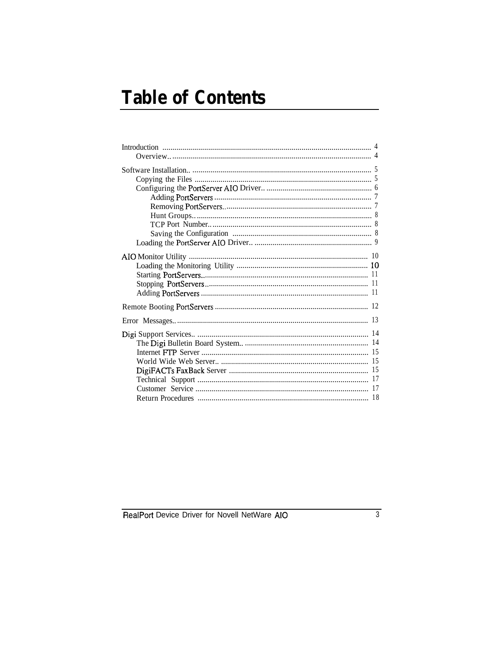# **Table of Contents**

RealPort Device Driver for Novell NetWare AIO

 $\overline{3}$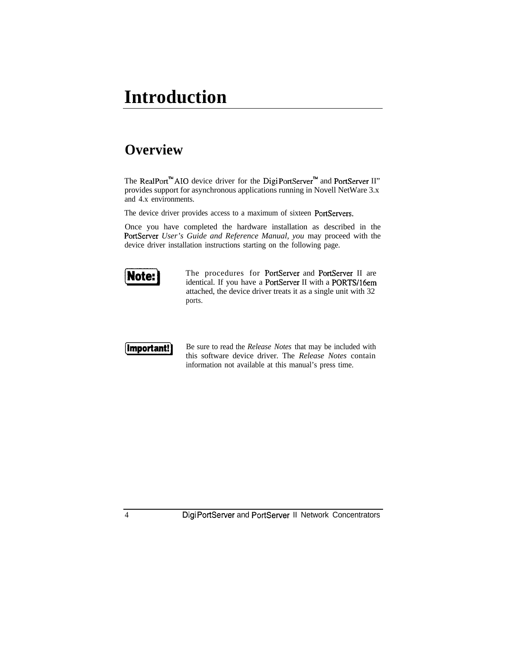### **Introduction**

#### **Overview**

The RealPort<sup>n</sup> AIO device driver for the Digi PortServer<sup>m</sup> and PortServer II" provides support for asynchronous applications running in Novell NetWare 3.x and 4.x environments.

The device driver provides access to a maximum of sixteen PortServers.

Once you have completed the hardware installation as described in the PortServer *User's Guide and Reference Manual, you* may proceed with the device driver installation instructions starting on the following page.



The procedures for PortServer and PortServer II are identical. If you have a PortServer II with a PORTS/16em attached, the device driver treats it as a single unit with 32 ports.



**[Important!]** Be sure to read the *Release Notes* that may be included with this software device driver. The *Release Notes* contain information not available at this manual's press time.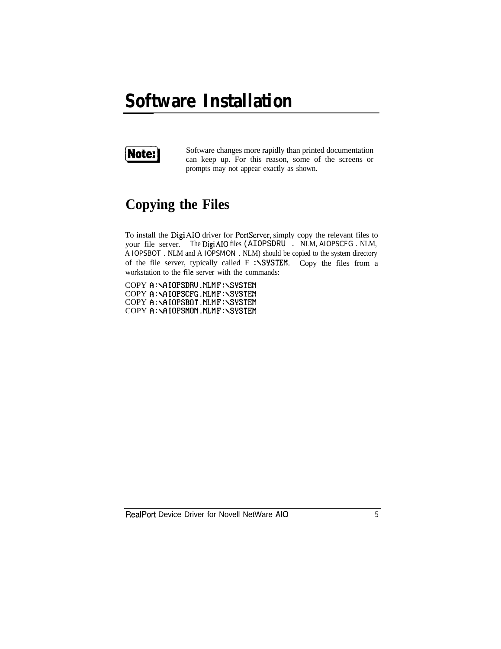### **Software Installation**



**Note:** Software changes more rapidly than printed documentation can keep up. For this reason, some of the screens or prompts may not appear exactly as shown.

#### **Copying the Files**

To install the Digi AI0 driver for PortServer, simply copy the relevant files to your file server. The Digi AI0 files (AIOPSDRU . NLM, AIOPSCFG . NLM, A IOPSBOT . NLM and A IOPSMON . NLM) should be copied to the system directory of the file server, typically called F :\SYSTEM. Copy the files from a workstation to the file server with the commands:

COPY A:\AIOPSDRU.NLMF:\SYSTEM COPY A:\AIOPSCFG.NLMF:\SYSTEM COPY A:\AIOPSBOT.NLM F:\SYSTEM COPY A:\AIOPSMON.NLM F:\SYSTEM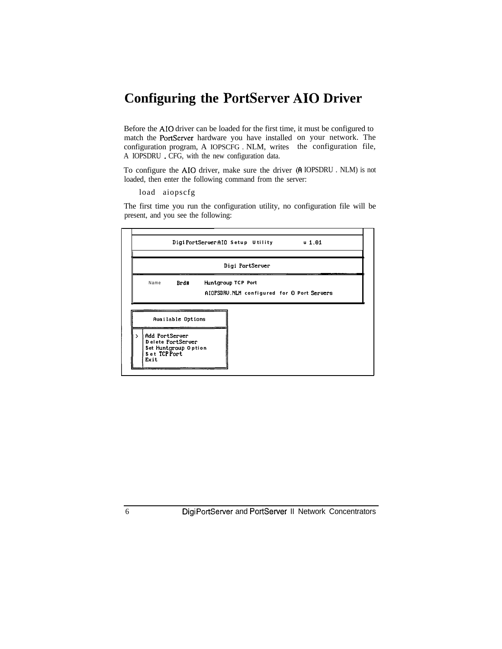### **Configuring the PortServer AI0 Driver**

Before the AI0 driver can be loaded for the first time, it must be configured to match the PortServer hardware you have installed on your network. The configuration program, A IOPSCFG . NLM, writes the configuration file, A IOPSDRU . CFG, with the new configuration data.

To configure the AI0 driver, make sure the driver (6 IOPSDRU . NLM) is not loaded, then enter the following command from the server:

load aiopscfg

The first time you run the configuration utility, no configuration file will be present, and you see the following:

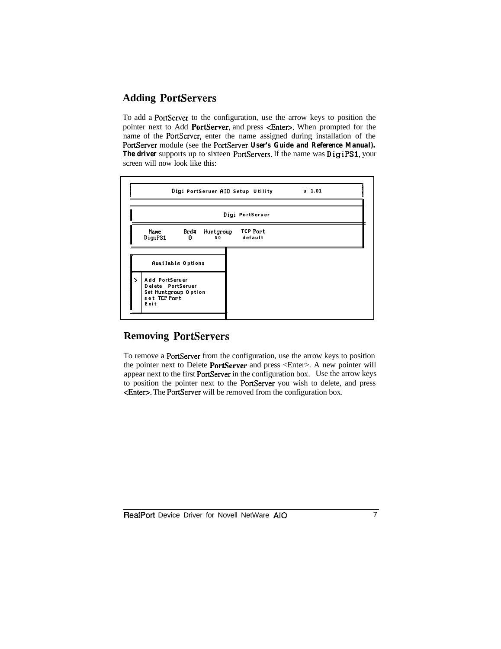#### **Adding PortServers**

To add a PortServer to the configuration, use the arrow keys to position the pointer next to Add PortServer, and press <Enter>. When prompted for the name of the PortServer, enter the name assigned during installation of the PortServer module (see the PortServer *User's Guide and Reference Manual).* The driver supports up to sixteen PortServers. If the name was DigiPS1, your screen will now look like this:



#### **Removing PortServers**

To remove a PortServer from the configuration, use the arrow keys to position the pointer next to Delete PortServer and press <Enter>. A new pointer will appear next to the first PortServer in the configuration box. Use the arrow keys to position the pointer next to the PortServer you wish to delete, and press <Enten. The PortServer will be removed from the configuration box.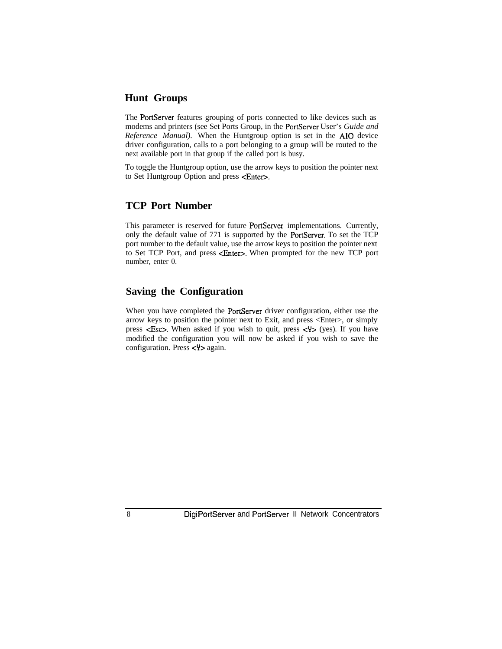#### **Hunt Groups**

The PortServer features grouping of ports connected to like devices such as modems and printers (see Set Ports Group, in the PortServer User's *Guide and Reference Manual*). When the Huntgroup option is set in the AIO device driver configuration, calls to a port belonging to a group will be routed to the next available port in that group if the called port is busy.

To toggle the Huntgroup option, use the arrow keys to position the pointer next to Set Huntgroup Option and press <Enter>.

#### **TCP Port Number**

This parameter is reserved for future PortServer implementations. Currently, only the default value of 771 is supported by the PortServer. To set the TCP port number to the default value, use the arrow keys to position the pointer next to Set TCP Port, and press <Enter>. When prompted for the new TCP port number, enter 0.

#### **Saving the Configuration**

When you have completed the PortServer driver configuration, either use the arrow keys to position the pointer next to Exit, and press <Enter>, or simply press  $\langle$ **Esc>**. When asked if you wish to quit, press  $\langle$ **Y**> (yes). If you have modified the configuration you will now be asked if you wish to save the configuration. Press  $\langle \Psi \rangle$  again.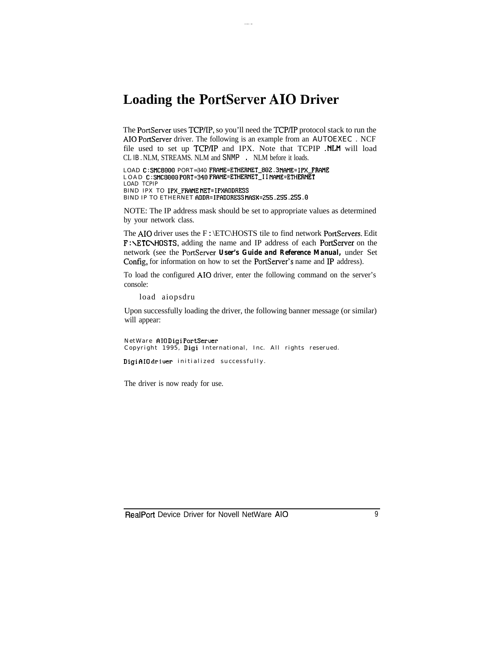#### **Loading the PortServer AI0 Driver**

The PortServer uses TCP/IP, so you'll need the TCP/IP protocol stack to run the AI0 PortServer driver. The following is an example from an AUTOEXEC . NCF file used to set up TCP/IP and IPX. Note that TCPIP .NLM will load CL IB . NLM, STREAMS. NLM and SNMP . NLM before it loads.

LOAD C:SMC8O00 PORT=340 FRAME=ETHERNET\_802.3 NAME=IPX\_FRANE LOAD C:SMC8000 PORT=340 FRAME=ETHERNET\_II NAME=ETHERNET LOAD TCPIP BIND IPX TO IPX FRAME NET=IPXADDRESS BIND IP TO ETHERNET ADDR=IPADDRESSMASK=255.255.255.0

NOTE: The IP address mask should be set to appropriate values as determined by your network class.

The AIO driver uses the F:\ETC\HOSTS tile to find network PortServers. Edit F:\ETC\HOSTS, adding the name and IP address of each PortServer on the network (see the PortServer *User's Guide and Reference Manual,* under Set Config, for information on how to set the PortServer's name and IP address).

To load the configured AI0 driver, enter the following command on the server's console:

load aiopsdru

Upon successfully loading the driver, the following banner message (or similar) will appear:

NetWare AIODigi PortServer Copyright 1995, Digi International, Inc. All rights reserued.

DigiAIO driver initialized successfully.

The driver is now ready for use.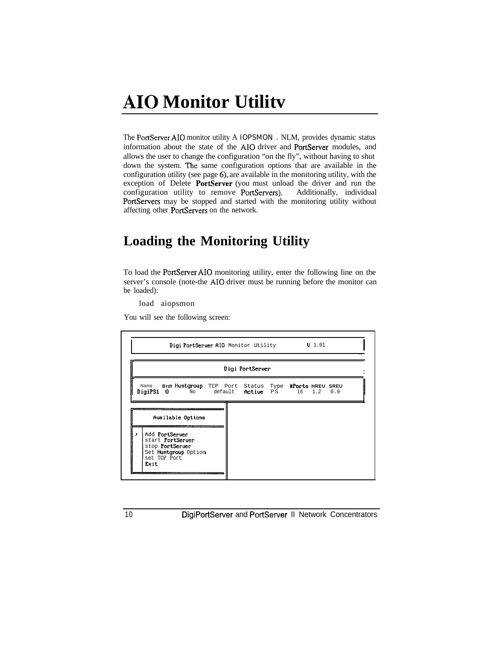### **AI0 Monitor Utilitv**

The PortServer AI0 monitor utility A IOPSMON . NLM, provides dynamic status information about the state of the AI0 driver and PortServer modules, and allows the user to change the configuration "on the fly", without having to shut down the system. The same configuration options that are available in the configuration utility (see page 6), are available in the monitoring utility, with the exception of Delete PortServer (you must unload the driver and run the configuration utility to remove PortServers). Additionally, individual PortServers may be stopped and started with the monitoring utility without affecting other PortServers on the network.

#### **Loading the Monitoring Utility**

To load the PortServer AI0 monitoring utility, enter the following line on the server's console (note-the AI0 driver must be running before the monitor can be loaded):

load aiopsmon

You will see the following screen:

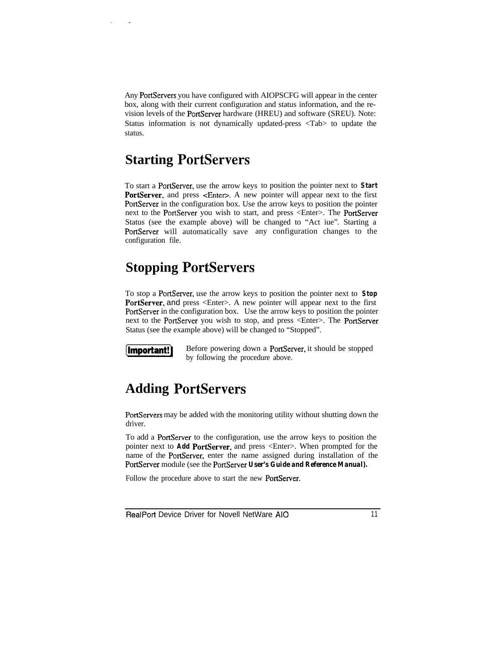Any PortServers you have configured with AIOPSCFG will appear in the center box, along with their current configuration and status information, and the revision levels of the PortServer hardware (HREU) and software (SREU). Note: Status information is not dynamically updated-press <Tab> to update the status.

#### **Starting PortServers**

To start a PortServer, use the arrow keys to position the pointer next to **Start PortServer**, and press <Enter>. A new pointer will appear next to the first PortServer in the configuration box. Use the arrow keys to position the pointer next to the PortServer you wish to start, and press <Enter>. The PortServer Status (see the example above) will be changed to "Act iue". Starting a PortServer will automatically save any configuration changes to the configuration file.

### **Stopping PortServers**

To stop a PortServer, use the arrow keys to position the pointer next to **Stop PortServer,** and press <Enter>. A new pointer will appear next to the first PortServer in the configuration box. Use the arrow keys to position the pointer next to the PortServer you wish to stop, and press <Enter>. The PortServer Status (see the example above) will be changed to "Stopped".

**Important!** Before powering down a PortServer, it should be stopped by following the procedure above.

#### **Adding PortServers**

PortServers may be added with the monitoring utility without shutting down the driver.

To add a PortServer to the configuration, use the arrow keys to position the pointer next to **Add PortServer,** and press <Enter>. When prompted for the name of the PortServer, enter the name assigned during installation of the PortServer module (see the PortServer *User's Guide and Reference Manual).*

Follow the procedure above to start the new PortServer.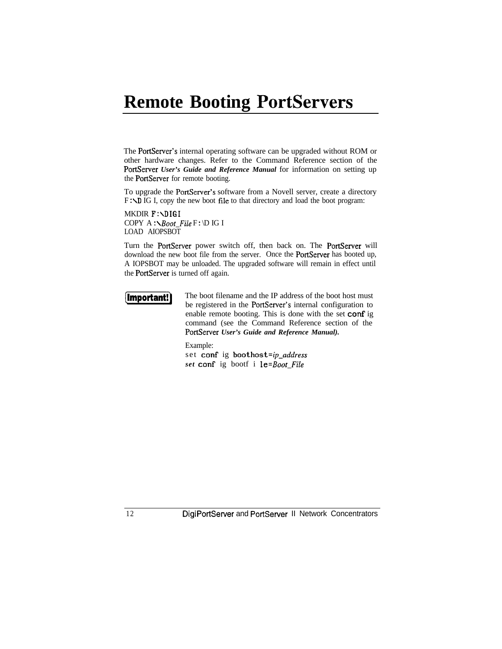### **Remote Booting PortServers**

The PortServer's internal operating software can be upgraded without ROM or other hardware changes. Refer to the Command Reference section of the PortServer *User's Guide and Reference Manual* for information on setting up the PortServer for remote booting.

To upgrade the PortServer's software from a Novell server, create a directory F: ND IG I, copy the new boot file to that directory and load the boot program:

MKDIR F:\DIGI COPY A : *NBoot\_File* F : \D IG I LOAD AIOPSBOT

Turn the PortServer power switch off, then back on. The PortServer will download the new boot file from the server. Once the PortServer has booted up, A IOPSBOT may be unloaded. The upgraded software will remain in effect until the PortServer is turned off again.

**Important!** The boot filename and the IP address of the boot host must be registered in the PortServer's internal configuration to enable remote booting. This is done with the set conf ig command (see the Command Reference section of the PortServer *User's Guide and Reference Manual).*

Example:

set conf ig boothost=ip\_address *set* conf ig bootf i *le=Boot\_File*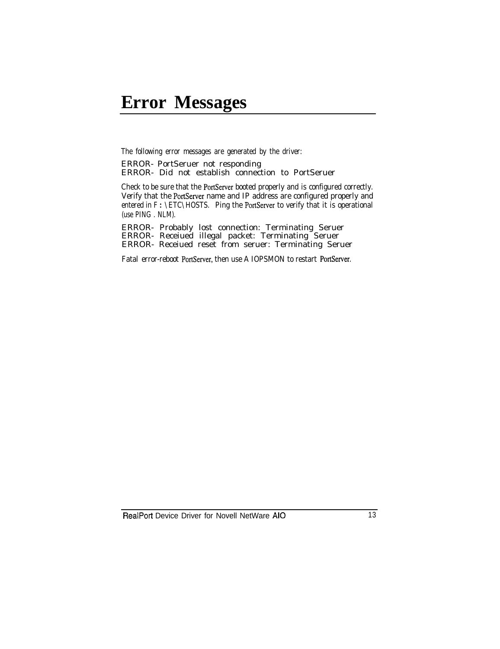### **Error Messages**

The following error messages are generated by the driver:

ERROR- PortSeruer not responding ERROR- Did not establish connection to PortSeruer

Check to be sure that the PortServer booted properly and is configured correctly. Verify that the PortServer name and IP address are configured properly and entered in  $F : \ETC\HOSTS$ . Ping the PortServer to verify that it is operational (use PING . NLM).

ERROR- Probably lost connection: Terminating Seruer ERROR- Receiued illegal packet: Terminating Seruer ERROR- Receiued reset from seruer: Terminating Seruer

Fatal error-reboot PortServer, then use A IOPSMON to restart PortServer.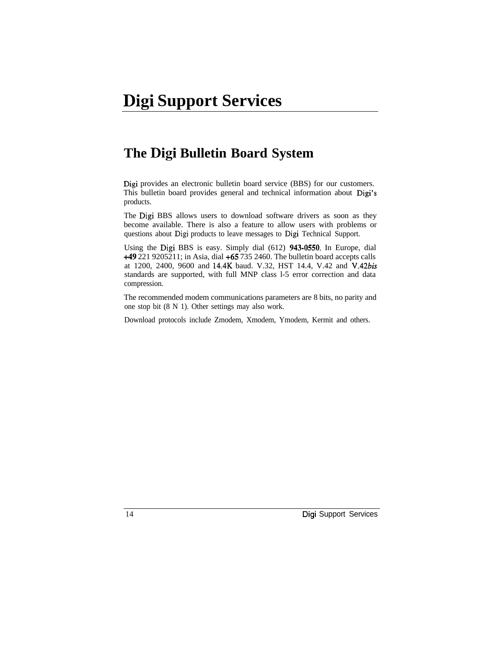### **The Digi Bulletin Board System**

Digi provides an electronic bulletin board service (BBS) for our customers. This bulletin board provides general and technical information about Digi's products.

The Digi BBS allows users to download software drivers as soon as they become available. There is also a feature to allow users with problems or questions about Digi products to leave messages to Digi Technical Support.

Using the Digi BBS is easy. Simply dial (612) 943-0550. In Europe, dial +49 221 9205211; in Asia, dial +65 735 2460. The bulletin board accepts calls at 1200, 2400, 9600 and 14.4K baud. V.32, HST 14.4, V.42 and *V.42bis* standards are supported, with full MNP class l-5 error correction and data compression.

The recommended modem communications parameters are 8 bits, no parity and one stop bit (8 N 1). Other settings may also work.

Download protocols include Zmodem, Xmodem, Ymodem, Kermit and others.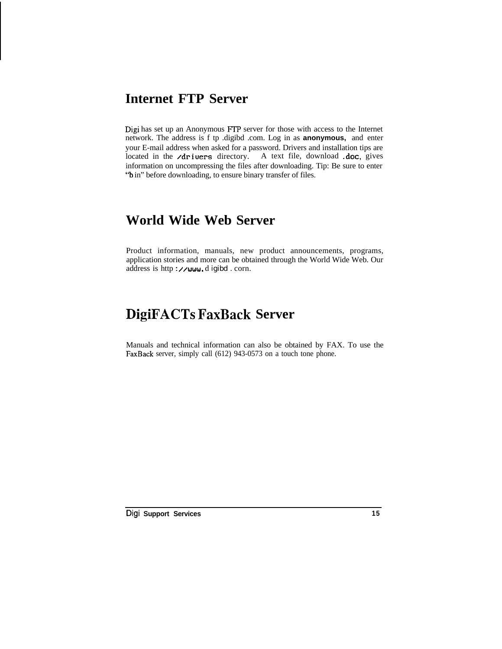#### **Internet FTP Server**

Digi has set up an Anonymous FTP server for those with access to the Internet network. The address is f tp .digibd .com. Log in as **anonymous,** and enter your E-mail address when asked for a password. Drivers and installation tips are located in the **/drivers** directory. A text file, download .doc, gives information on uncompressing the files after downloading. Tip: Be sure to enter "b in" before downloading, to ensure binary transfer of files.

#### **World Wide Web Server**

Product information, manuals, new product announcements, programs, application stories and more can be obtained through the World Wide Web. Our address is http://www.digibd.corn.

#### **DigiFACTs FaxBack Server**

Manuals and technical information can also be obtained by FAX. To use the FaxBack server, simply call (612) 943-0573 on a touch tone phone.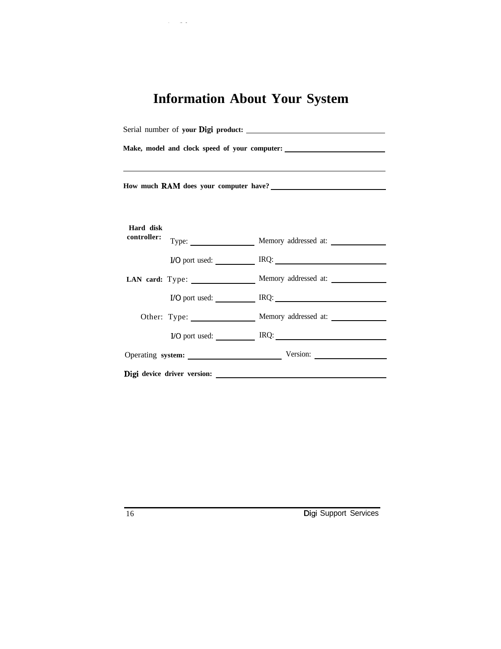## **Information About Your System**

 $\alpha_{\rm{max}}$  and  $\alpha_{\rm{max}}$ 

| Make, model and clock speed of your computer: ___________________________________ |  |                                                                  |  |  |                          |  |                          |
|-----------------------------------------------------------------------------------|--|------------------------------------------------------------------|--|--|--------------------------|--|--------------------------|
|                                                                                   |  |                                                                  |  |  | Hard disk<br>controller: |  |                          |
|                                                                                   |  |                                                                  |  |  |                          |  | I/O port used: IRQ: IRQ: |
|                                                                                   |  | LAN card: Type: Memory addressed at:                             |  |  |                          |  |                          |
|                                                                                   |  | I/O port used: IRQ: IRQ:                                         |  |  |                          |  |                          |
|                                                                                   |  | Other: Type: ________________ Memory addressed at: _____________ |  |  |                          |  |                          |
|                                                                                   |  | I/O port used: IRQ: IRQ:                                         |  |  |                          |  |                          |
|                                                                                   |  | Operating system: Version: Version:                              |  |  |                          |  |                          |
|                                                                                   |  |                                                                  |  |  |                          |  |                          |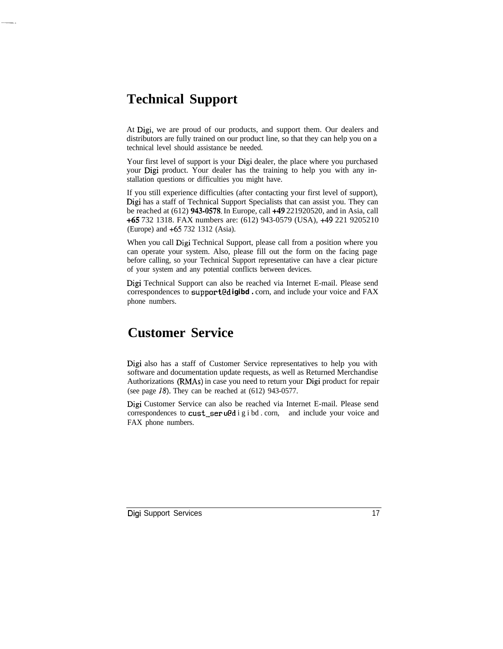#### **Technical Support**

At Digi, we are proud of our products, and support them. Our dealers and distributors are fully trained on our product line, so that they can help you on a technical level should assistance be needed.

Your first level of support is your Digi dealer, the place where you purchased your Digi product. Your dealer has the training to help you with any installation questions or difficulties you might have.

If you still experience difficulties (after contacting your first level of support), Digi has a staff of Technical Support Specialists that can assist you. They can be reached at (612) 943-0578. In Europe, call +49 221920520, and in Asia, call +65 732 1318. FAX numbers are: (612) 943-0579 (USA), +49 221 9205210 (Europe) and +65 732 1312 (Asia).

When you call Digi Technical Support, please call from a position where you can operate your system. Also, please fill out the form on the facing page before calling, so your Technical Support representative can have a clear picture of your system and any potential conflicts between devices.

Digi Technical Support can also be reached via Internet E-mail. Please send correspondences to support@d **igibd .** corn, and include your voice and FAX phone numbers.

#### **Customer Service**

Digi also has a staff of Customer Service representatives to help you with software and documentation update requests, as well as Returned Merchandise Authorizations (RMAs) in case you need to return your Digi product for repair (see page 18). They can be reached at (612) 943-0577.

Digi Customer Service can also be reached via Internet E-mail. Please send correspondences to cust\_ser u@d i g i bd . corn, and include your voice and FAX phone numbers.